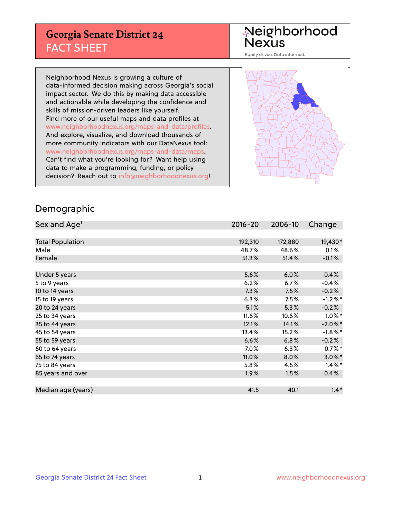## **Georgia Senate District 24** FACT SHEET

# Neighborhood<br>Nexus

Equity driven. Data informed.

Neighborhood Nexus is growing a culture of data-informed decision making across Georgia's social impact sector. We do this by making data accessible and actionable while developing the confidence and skills of mission-driven leaders like yourself. Find more of our useful maps and data profiles at www.neighborhoodnexus.org/maps-and-data/profiles. And explore, visualize, and download thousands of more community indicators with our DataNexus tool: www.neighborhoodnexus.org/maps-and-data/maps. Can't find what you're looking for? Want help using data to make a programming, funding, or policy decision? Reach out to [info@neighborhoodnexus.org!](mailto:info@neighborhoodnexus.org)



### Demographic

| Sex and Age <sup>1</sup> | $2016 - 20$ | 2006-10 | Change     |
|--------------------------|-------------|---------|------------|
|                          |             |         |            |
| <b>Total Population</b>  | 192,310     | 172,880 | 19,430*    |
| Male                     | 48.7%       | 48.6%   | 0.1%       |
| Female                   | 51.3%       | 51.4%   | $-0.1\%$   |
|                          |             |         |            |
| Under 5 years            | 5.6%        | 6.0%    | $-0.4%$    |
| 5 to 9 years             | 6.2%        | 6.7%    | $-0.4%$    |
| 10 to 14 years           | 7.3%        | 7.5%    | $-0.2%$    |
| 15 to 19 years           | 6.3%        | 7.5%    | $-1.2%$ *  |
| 20 to 24 years           | 5.1%        | 5.3%    | $-0.2%$    |
| 25 to 34 years           | $11.6\%$    | 10.6%   | $1.0\%$ *  |
| 35 to 44 years           | 12.1%       | 14.1%   | $-2.0\%$ * |
| 45 to 54 years           | 13.4%       | 15.2%   | $-1.8\%$ * |
| 55 to 59 years           | 6.6%        | 6.8%    | $-0.2%$    |
| 60 to 64 years           | 7.0%        | 6.3%    | $0.7\%$ *  |
| 65 to 74 years           | 11.0%       | 8.0%    | $3.0\%$ *  |
| 75 to 84 years           | 5.8%        | 4.5%    | $1.4\%$ *  |
| 85 years and over        | $1.9\%$     | 1.5%    | 0.4%       |
|                          |             |         |            |
| Median age (years)       | 41.5        | 40.1    | $1.4*$     |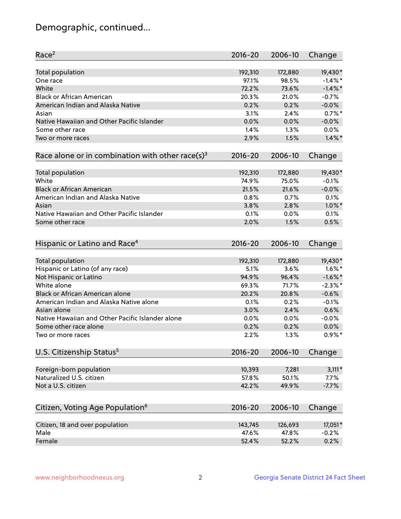## Demographic, continued...

| Race <sup>2</sup>                                            | $2016 - 20$ | 2006-10 | Change     |
|--------------------------------------------------------------|-------------|---------|------------|
| <b>Total population</b>                                      | 192,310     | 172,880 | 19,430*    |
| One race                                                     | 97.1%       | 98.5%   | $-1.4\%$ * |
| White                                                        | 72.2%       | 73.6%   | $-1.4\%$ * |
| <b>Black or African American</b>                             | 20.3%       | 21.0%   | $-0.7%$    |
| American Indian and Alaska Native                            | 0.2%        | 0.2%    | $-0.0%$    |
| Asian                                                        | 3.1%        | 2.4%    | $0.7%$ *   |
| Native Hawaiian and Other Pacific Islander                   | 0.0%        | 0.0%    | $-0.0%$    |
| Some other race                                              | 1.4%        | 1.3%    | 0.0%       |
| Two or more races                                            | 2.9%        | 1.5%    | $1.4\%$ *  |
| Race alone or in combination with other race(s) <sup>3</sup> | $2016 - 20$ | 2006-10 | Change     |
| Total population                                             | 192,310     | 172,880 | 19,430*    |
| White                                                        | 74.9%       | 75.0%   | $-0.1%$    |
| <b>Black or African American</b>                             | 21.5%       | 21.6%   | $-0.0%$    |
| American Indian and Alaska Native                            | 0.8%        | 0.7%    | 0.1%       |
| Asian                                                        | 3.8%        | 2.8%    | $1.0\%$ *  |
| Native Hawaiian and Other Pacific Islander                   | 0.1%        | 0.0%    | 0.1%       |
| Some other race                                              | 2.0%        | 1.5%    | 0.5%       |
| Hispanic or Latino and Race <sup>4</sup>                     | $2016 - 20$ | 2006-10 | Change     |
| Total population                                             | 192,310     | 172,880 | 19,430*    |
| Hispanic or Latino (of any race)                             | 5.1%        | 3.6%    | $1.6\%$ *  |
| Not Hispanic or Latino                                       | 94.9%       | 96.4%   | $-1.6\%$ * |
| White alone                                                  | 69.3%       | 71.7%   | $-2.3\%$ * |
| Black or African American alone                              | 20.2%       | 20.8%   | $-0.6%$    |
| American Indian and Alaska Native alone                      | 0.1%        | 0.2%    | $-0.1%$    |
| Asian alone                                                  | 3.0%        | 2.4%    | 0.6%       |
| Native Hawaiian and Other Pacific Islander alone             | 0.0%        | 0.0%    | $-0.0%$    |
| Some other race alone                                        | 0.2%        | 0.2%    | 0.0%       |
| Two or more races                                            | 2.2%        | 1.3%    | $0.9\%$ *  |
| U.S. Citizenship Status <sup>5</sup>                         | $2016 - 20$ | 2006-10 | Change     |
|                                                              |             |         |            |
| Foreign-born population                                      | 10,393      | 7,281   | $3,111*$   |
| Naturalized U.S. citizen                                     | 57.8%       | 50.1%   | 7.7%       |
| Not a U.S. citizen                                           | 42.2%       | 49.9%   | $-7.7%$    |
| Citizen, Voting Age Population <sup>6</sup>                  | 2016-20     | 2006-10 | Change     |
|                                                              |             |         |            |
| Citizen, 18 and over population                              | 143,745     | 126,693 | 17,051*    |
| Male                                                         | 47.6%       | 47.8%   | $-0.2%$    |
| Female                                                       | 52.4%       | 52.2%   | 0.2%       |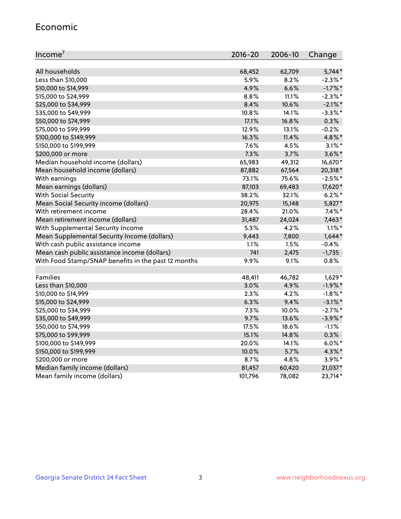#### Economic

| Income <sup>7</sup>                                 | 2016-20        | 2006-10        | Change                   |
|-----------------------------------------------------|----------------|----------------|--------------------------|
|                                                     |                |                | $5,744*$                 |
| All households<br>Less than \$10,000                | 68,452<br>5.9% | 62,709<br>8.2% | $-2.3\%$ *               |
|                                                     | 4.9%           | 6.6%           |                          |
| \$10,000 to \$14,999                                | 8.8%           | 11.1%          | $-1.7\%$ *<br>$-2.3\%$ * |
| \$15,000 to \$24,999                                | 8.4%           |                |                          |
| \$25,000 to \$34,999                                | 10.8%          | 10.6%          | $-2.1\%$ *               |
| \$35,000 to \$49,999                                |                | 14.1%          | $-3.3\%$ *               |
| \$50,000 to \$74,999                                | 17.1%          | 16.8%          | 0.3%                     |
| \$75,000 to \$99,999                                | 12.9%          | 13.1%          | $-0.2%$                  |
| \$100,000 to \$149,999                              | 16.3%          | 11.4%          | 4.8%*                    |
| \$150,000 to \$199,999                              | 7.6%           | 4.5%           | $3.1\%$ *                |
| \$200,000 or more                                   | 7.3%           | 3.7%           | $3.6\%$ *                |
| Median household income (dollars)                   | 65,983         | 49,312         | 16,670*                  |
| Mean household income (dollars)                     | 87,882         | 67,564         | 20,318*                  |
| With earnings                                       | 73.1%          | 75.6%          | $-2.5%$ *                |
| Mean earnings (dollars)                             | 87,103         | 69,483         | 17,620*                  |
| <b>With Social Security</b>                         | 38.2%          | 32.1%          | $6.2%$ *                 |
| Mean Social Security income (dollars)               | 20,975         | 15,148         | 5,827*                   |
| With retirement income                              | 28.4%          | 21.0%          | $7.4\%$ *                |
| Mean retirement income (dollars)                    | 31,487         | 24,024         | $7,463*$                 |
| With Supplemental Security Income                   | 5.3%           | 4.2%           | $1.1\%$ *                |
| Mean Supplemental Security Income (dollars)         | 9,443          | 7,800          | $1,644*$                 |
| With cash public assistance income                  | 1.1%           | 1.5%           | $-0.4%$                  |
| Mean cash public assistance income (dollars)        | 741            | 2,475          | $-1,735$                 |
| With Food Stamp/SNAP benefits in the past 12 months | 9.9%           | 9.1%           | 0.8%                     |
| Families                                            |                |                |                          |
|                                                     | 48,411         | 46,782<br>4.9% | $1,629*$                 |
| Less than \$10,000                                  | 3.0%           |                | $-1.9%$ *                |
| \$10,000 to \$14,999                                | 2.3%           | 4.2%           | $-1.8\%$ *               |
| \$15,000 to \$24,999                                | 6.3%           | 9.4%           | $-3.1\%$ *               |
| \$25,000 to \$34,999                                | 7.3%           | 10.0%          | $-2.7%$ *                |
| \$35,000 to \$49,999                                | 9.7%           | 13.6%          | $-3.9\%$ *               |
| \$50,000 to \$74,999                                | 17.5%          | 18.6%          | $-1.1%$                  |
| \$75,000 to \$99,999                                | 15.1%          | 14.8%          | 0.3%                     |
| \$100,000 to \$149,999                              | 20.0%          | 14.1%          | $6.0\%$ *                |
| \$150,000 to \$199,999                              | 10.0%          | 5.7%           | 4.3%*                    |
| \$200,000 or more                                   | 8.7%           | 4.8%           | $3.9\%$ *                |
| Median family income (dollars)                      | 81,457         | 60,420         | 21,037*                  |
| Mean family income (dollars)                        | 101,796        | 78,082         | 23,714*                  |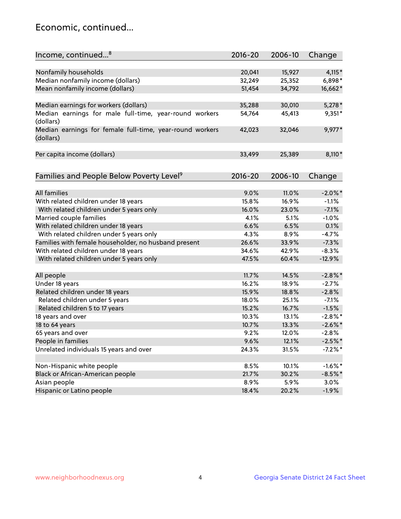## Economic, continued...

| Income, continued <sup>8</sup>                                        | $2016 - 20$ | 2006-10 | Change     |
|-----------------------------------------------------------------------|-------------|---------|------------|
|                                                                       |             |         |            |
| Nonfamily households                                                  | 20,041      | 15,927  | $4,115*$   |
| Median nonfamily income (dollars)                                     | 32,249      | 25,352  | 6,898*     |
| Mean nonfamily income (dollars)                                       | 51,454      | 34,792  | 16,662*    |
| Median earnings for workers (dollars)                                 | 35,288      | 30,010  | $5,278*$   |
| Median earnings for male full-time, year-round workers<br>(dollars)   | 54,764      | 45,413  | $9,351*$   |
| Median earnings for female full-time, year-round workers<br>(dollars) | 42,023      | 32,046  | 9,977*     |
| Per capita income (dollars)                                           | 33,499      | 25,389  | 8,110*     |
|                                                                       |             |         |            |
| Families and People Below Poverty Level <sup>9</sup>                  | $2016 - 20$ | 2006-10 | Change     |
| <b>All families</b>                                                   | 9.0%        | 11.0%   | $-2.0\%$ * |
| With related children under 18 years                                  | 15.8%       | 16.9%   | $-1.1%$    |
| With related children under 5 years only                              | 16.0%       | 23.0%   | $-7.1%$    |
| Married couple families                                               | 4.1%        | 5.1%    | $-1.0%$    |
| With related children under 18 years                                  | 6.6%        | 6.5%    | 0.1%       |
| With related children under 5 years only                              | 4.3%        | 8.9%    | $-4.7%$    |
| Families with female householder, no husband present                  | 26.6%       | 33.9%   | $-7.3%$    |
| With related children under 18 years                                  | 34.6%       | 42.9%   | $-8.3%$    |
| With related children under 5 years only                              | 47.5%       | 60.4%   | $-12.9%$   |
|                                                                       |             |         |            |
| All people                                                            | 11.7%       | 14.5%   | $-2.8\%$ * |
| Under 18 years                                                        | 16.2%       | 18.9%   | $-2.7%$    |
| Related children under 18 years                                       | 15.9%       | 18.8%   | $-2.8%$    |
| Related children under 5 years                                        | 18.0%       | 25.1%   | $-7.1%$    |
| Related children 5 to 17 years                                        | 15.2%       | 16.7%   | $-1.5%$    |
| 18 years and over                                                     | 10.3%       | 13.1%   | $-2.8\%$ * |
| 18 to 64 years                                                        | 10.7%       | 13.3%   | $-2.6\%$ * |
| 65 years and over                                                     | 9.2%        | 12.0%   | $-2.8%$    |
| People in families                                                    | 9.6%        | 12.1%   | $-2.5%$ *  |
| Unrelated individuals 15 years and over                               | 24.3%       | 31.5%   | $-7.2%$ *  |
|                                                                       |             |         |            |
| Non-Hispanic white people                                             | 8.5%        | 10.1%   | $-1.6\%$ * |
| Black or African-American people                                      | 21.7%       | 30.2%   | $-8.5%$ *  |
| Asian people                                                          | 8.9%        | 5.9%    | 3.0%       |
| Hispanic or Latino people                                             | 18.4%       | 20.2%   | $-1.9%$    |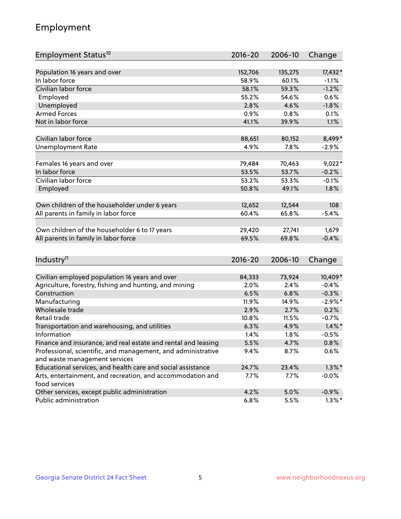## Employment

| Employment Status <sup>10</sup>                                             | $2016 - 20$ | 2006-10 | Change     |
|-----------------------------------------------------------------------------|-------------|---------|------------|
| Population 16 years and over                                                |             | 135,275 |            |
| In labor force                                                              | 152,706     |         | 17,432*    |
| Civilian labor force                                                        | 58.9%       | 60.1%   | $-1.1%$    |
|                                                                             | 58.1%       | 59.3%   | $-1.2%$    |
| Employed                                                                    | 55.2%       | 54.6%   | 0.6%       |
| Unemployed                                                                  | 2.8%        | 4.6%    | $-1.8%$    |
| <b>Armed Forces</b>                                                         | 0.9%        | 0.8%    | 0.1%       |
| Not in labor force                                                          | 41.1%       | 39.9%   | 1.1%       |
| Civilian labor force                                                        | 88,651      | 80,152  | 8,499*     |
|                                                                             | 4.9%        | 7.8%    |            |
| <b>Unemployment Rate</b>                                                    |             |         | $-2.9%$    |
| Females 16 years and over                                                   | 79,484      | 70,463  | $9,022*$   |
| In labor force                                                              | 53.5%       | 53.7%   | $-0.2%$    |
| Civilian labor force                                                        | 53.2%       | 53.3%   | $-0.1%$    |
| Employed                                                                    | 50.8%       | 49.1%   | 1.8%       |
|                                                                             |             |         |            |
| Own children of the householder under 6 years                               | 12,652      | 12,544  | 108        |
| All parents in family in labor force                                        | 60.4%       | 65.8%   | $-5.4%$    |
|                                                                             |             |         |            |
| Own children of the householder 6 to 17 years                               | 29,420      | 27,741  | 1,679      |
| All parents in family in labor force                                        | 69.5%       | 69.8%   | $-0.4%$    |
|                                                                             |             |         |            |
| Industry <sup>11</sup>                                                      | $2016 - 20$ | 2006-10 | Change     |
|                                                                             |             |         |            |
| Civilian employed population 16 years and over                              | 84,333      | 73,924  | 10,409*    |
| Agriculture, forestry, fishing and hunting, and mining                      | 2.0%        | 2.4%    | $-0.4%$    |
| Construction                                                                | 6.5%        | 6.8%    | $-0.3%$    |
| Manufacturing                                                               | 11.9%       | 14.9%   | $-2.9\%$ * |
| Wholesale trade                                                             | 2.9%        | 2.7%    | 0.2%       |
| Retail trade                                                                | 10.8%       | 11.5%   | $-0.7%$    |
| Transportation and warehousing, and utilities                               | 6.3%        | 4.9%    | $1.4\%$ *  |
| Information                                                                 | 1.4%        | 1.8%    | $-0.5%$    |
| Finance and insurance, and real estate and rental and leasing               | 5.5%        | 4.7%    | $0.8\%$    |
| Professional, scientific, and management, and administrative                | 9.4%        | 8.7%    | 0.6%       |
| and waste management services                                               |             |         |            |
| Educational services, and health care and social assistance                 | 24.7%       | 23.4%   | $1.3\%$ *  |
| Arts, entertainment, and recreation, and accommodation and<br>food services | 7.7%        | 7.7%    | $-0.0%$    |
| Other services, except public administration                                | 4.2%        | 5.0%    | $-0.9%$    |
| Public administration                                                       | 6.8%        | 5.5%    | $1.3\%$ *  |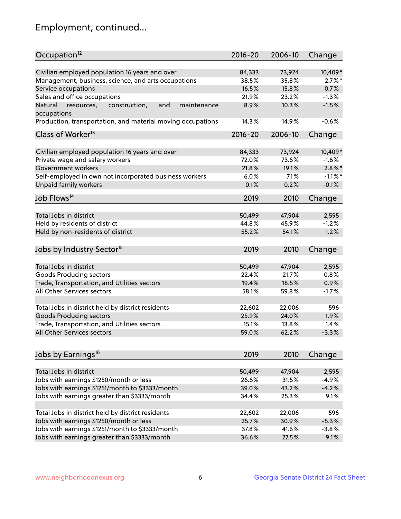## Employment, continued...

| Occupation <sup>12</sup>                                     | $2016 - 20$ | 2006-10 | Change     |
|--------------------------------------------------------------|-------------|---------|------------|
| Civilian employed population 16 years and over               | 84,333      | 73,924  | 10,409*    |
| Management, business, science, and arts occupations          | 38.5%       | 35.8%   | $2.7\%$ *  |
| Service occupations                                          | 16.5%       | 15.8%   | 0.7%       |
| Sales and office occupations                                 | 21.9%       | 23.2%   | $-1.3%$    |
| Natural<br>and<br>maintenance<br>resources,<br>construction, | 8.9%        | 10.3%   | $-1.5%$    |
| occupations                                                  |             |         |            |
| Production, transportation, and material moving occupations  | 14.3%       | 14.9%   | $-0.6%$    |
| Class of Worker <sup>13</sup>                                | $2016 - 20$ | 2006-10 | Change     |
|                                                              |             |         |            |
| Civilian employed population 16 years and over               | 84,333      | 73,924  | 10,409*    |
| Private wage and salary workers                              | 72.0%       | 73.6%   | $-1.6%$    |
| Government workers                                           | 21.8%       | 19.1%   | $2.8\%$ *  |
| Self-employed in own not incorporated business workers       | 6.0%        | 7.1%    | $-1.1\%$ * |
| Unpaid family workers                                        | 0.1%        | 0.2%    | $-0.1%$    |
| Job Flows <sup>14</sup>                                      | 2019        | 2010    | Change     |
|                                                              |             |         |            |
| Total Jobs in district                                       | 50,499      | 47,904  | 2,595      |
| Held by residents of district                                | 44.8%       | 45.9%   | $-1.2%$    |
| Held by non-residents of district                            | 55.2%       | 54.1%   | 1.2%       |
| Jobs by Industry Sector <sup>15</sup>                        | 2019        | 2010    | Change     |
|                                                              |             |         |            |
| Total Jobs in district                                       | 50,499      | 47,904  | 2,595      |
| Goods Producing sectors                                      | 22.4%       | 21.7%   | 0.8%       |
| Trade, Transportation, and Utilities sectors                 | 19.4%       | 18.5%   | 0.9%       |
| All Other Services sectors                                   | 58.1%       | 59.8%   | $-1.7%$    |
|                                                              |             |         |            |
| Total Jobs in district held by district residents            | 22,602      | 22,006  | 596        |
| <b>Goods Producing sectors</b>                               | 25.9%       | 24.0%   | 1.9%       |
| Trade, Transportation, and Utilities sectors                 | 15.1%       | 13.8%   | 1.4%       |
| All Other Services sectors                                   | 59.0%       | 62.2%   | $-3.3%$    |
|                                                              |             |         |            |
| Jobs by Earnings <sup>16</sup>                               | 2019        | 2010    | Change     |
| Total Jobs in district                                       | 50,499      | 47,904  | 2,595      |
| Jobs with earnings \$1250/month or less                      | 26.6%       | 31.5%   | $-4.9%$    |
| Jobs with earnings \$1251/month to \$3333/month              | 39.0%       | 43.2%   | $-4.2%$    |
| Jobs with earnings greater than \$3333/month                 | 34.4%       | 25.3%   | 9.1%       |
|                                                              |             |         |            |
| Total Jobs in district held by district residents            | 22,602      | 22,006  | 596        |
| Jobs with earnings \$1250/month or less                      | 25.7%       | 30.9%   | $-5.3%$    |
| Jobs with earnings \$1251/month to \$3333/month              | 37.8%       | 41.6%   | $-3.8%$    |
| Jobs with earnings greater than \$3333/month                 | 36.6%       | 27.5%   | 9.1%       |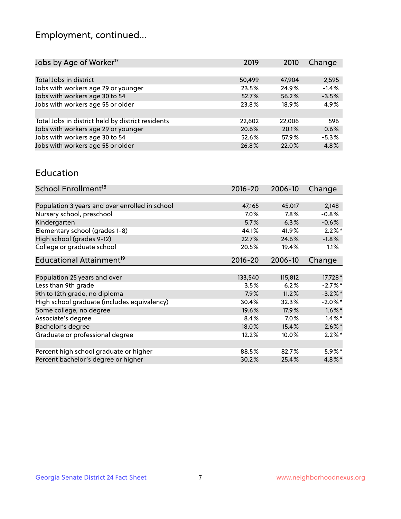## Employment, continued...

| 2019   | 2010   | Change  |
|--------|--------|---------|
|        |        |         |
| 50,499 | 47,904 | 2,595   |
| 23.5%  | 24.9%  | $-1.4%$ |
| 52.7%  | 56.2%  | $-3.5%$ |
| 23.8%  | 18.9%  | 4.9%    |
|        |        |         |
| 22,602 | 22,006 | 596     |
| 20.6%  | 20.1%  | 0.6%    |
| 52.6%  | 57.9%  | $-5.3%$ |
| 26.8%  | 22.0%  | 4.8%    |
|        |        |         |

#### Education

| School Enrollment <sup>18</sup>                | $2016 - 20$ | 2006-10 | Change     |
|------------------------------------------------|-------------|---------|------------|
|                                                |             |         |            |
| Population 3 years and over enrolled in school | 47,165      | 45,017  | 2,148      |
| Nursery school, preschool                      | $7.0\%$     | $7.8\%$ | $-0.8%$    |
| Kindergarten                                   | 5.7%        | 6.3%    | $-0.6%$    |
| Elementary school (grades 1-8)                 | 44.1%       | 41.9%   | $2.2\%$ *  |
| High school (grades 9-12)                      | 22.7%       | 24.6%   | $-1.8%$    |
| College or graduate school                     | 20.5%       | 19.4%   | $1.1\%$    |
| Educational Attainment <sup>19</sup>           | $2016 - 20$ | 2006-10 | Change     |
|                                                |             |         |            |
| Population 25 years and over                   | 133,540     | 115,812 | 17,728 *   |
| Less than 9th grade                            | 3.5%        | 6.2%    | $-2.7%$ *  |
| 9th to 12th grade, no diploma                  | 7.9%        | 11.2%   | $-3.2\%$ * |
| High school graduate (includes equivalency)    | 30.4%       | 32.3%   | $-2.0\%$ * |
| Some college, no degree                        | 19.6%       | 17.9%   | $1.6\%$ *  |
| Associate's degree                             | 8.4%        | 7.0%    | $1.4\%$ *  |
| Bachelor's degree                              | 18.0%       | 15.4%   | $2.6\%$ *  |
| Graduate or professional degree                | 12.2%       | 10.0%   | $2.2\%$ *  |
|                                                |             |         |            |
| Percent high school graduate or higher         | 88.5%       | 82.7%   | $5.9\%$ *  |
| Percent bachelor's degree or higher            | 30.2%       | 25.4%   | $4.8\%$ *  |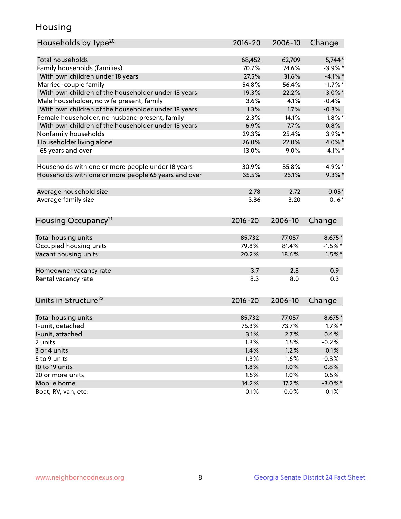## Housing

| Households by Type <sup>20</sup>                     | 2016-20     | 2006-10 | Change     |
|------------------------------------------------------|-------------|---------|------------|
|                                                      |             |         |            |
| <b>Total households</b>                              | 68,452      | 62,709  | $5,744*$   |
| Family households (families)                         | 70.7%       | 74.6%   | $-3.9\%$ * |
| With own children under 18 years                     | 27.5%       | 31.6%   | $-4.1\%$ * |
| Married-couple family                                | 54.8%       | 56.4%   | $-1.7%$ *  |
| With own children of the householder under 18 years  | 19.3%       | 22.2%   | $-3.0\%$ * |
| Male householder, no wife present, family            | 3.6%        | 4.1%    | $-0.4%$    |
| With own children of the householder under 18 years  | 1.3%        | 1.7%    | $-0.3%$    |
| Female householder, no husband present, family       | 12.3%       | 14.1%   | $-1.8\%$ * |
| With own children of the householder under 18 years  | 6.9%        | 7.7%    | $-0.8%$    |
| Nonfamily households                                 | 29.3%       | 25.4%   | $3.9\%$ *  |
| Householder living alone                             | 26.0%       | 22.0%   | 4.0%*      |
| 65 years and over                                    | 13.0%       | 9.0%    | $4.1\%$ *  |
|                                                      |             |         |            |
| Households with one or more people under 18 years    | 30.9%       | 35.8%   | $-4.9%$ *  |
| Households with one or more people 65 years and over | 35.5%       | 26.1%   | $9.3\%$ *  |
|                                                      |             |         |            |
| Average household size                               | 2.78        | 2.72    | $0.05*$    |
| Average family size                                  | 3.36        | 3.20    | $0.16*$    |
|                                                      |             |         |            |
| Housing Occupancy <sup>21</sup>                      | $2016 - 20$ | 2006-10 | Change     |
| Total housing units                                  | 85,732      | 77,057  | 8,675*     |
| Occupied housing units                               | 79.8%       | 81.4%   | $-1.5%$ *  |
|                                                      | 20.2%       | 18.6%   |            |
| Vacant housing units                                 |             |         | $1.5\%$ *  |
| Homeowner vacancy rate                               | 3.7         | 2.8     | 0.9        |
| Rental vacancy rate                                  | 8.3         | 8.0     | 0.3        |
|                                                      |             |         |            |
| Units in Structure <sup>22</sup>                     | $2016 - 20$ | 2006-10 | Change     |
|                                                      |             |         |            |
| Total housing units                                  | 85,732      | 77,057  | 8,675*     |
| 1-unit, detached                                     | 75.3%       | 73.7%   | $1.7\%$ *  |
| 1-unit, attached                                     | 3.1%        | 2.7%    | 0.4%       |
| 2 units                                              | 1.3%        | 1.5%    | $-0.2%$    |
| 3 or 4 units                                         | 1.4%        | 1.2%    | 0.1%       |
| 5 to 9 units                                         | 1.3%        | 1.6%    | $-0.3%$    |
| 10 to 19 units                                       | 1.8%        | 1.0%    | 0.8%       |
| 20 or more units                                     | 1.5%        | 1.0%    | 0.5%       |
| Mobile home                                          | 14.2%       | 17.2%   | $-3.0\%$ * |
| Boat, RV, van, etc.                                  | 0.1%        | 0.0%    | 0.1%       |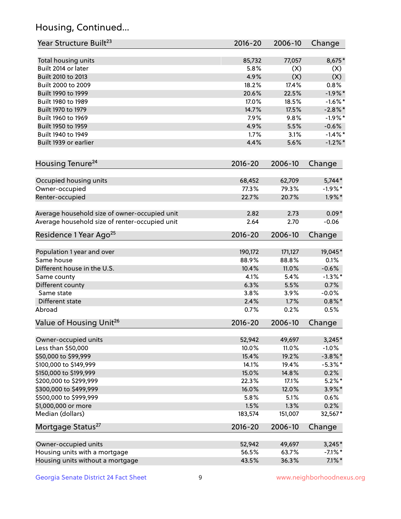## Housing, Continued...

| Year Structure Built <sup>23</sup>               | 2016-20        | 2006-10        | Change            |
|--------------------------------------------------|----------------|----------------|-------------------|
| Total housing units                              | 85,732         | 77,057         | 8,675*            |
| Built 2014 or later                              | 5.8%           | (X)            | (X)               |
| Built 2010 to 2013                               | 4.9%           | (X)            | (X)               |
| Built 2000 to 2009                               | 18.2%          | 17.4%          | 0.8%              |
| Built 1990 to 1999                               | 20.6%          | 22.5%          | $-1.9%$ *         |
| Built 1980 to 1989                               | 17.0%          | 18.5%          | $-1.6\%$ *        |
| Built 1970 to 1979                               | 14.7%          | 17.5%          | $-2.8\%$ *        |
| Built 1960 to 1969                               | 7.9%           | 9.8%           | $-1.9%$ *         |
| Built 1950 to 1959                               | 4.9%           | 5.5%           | $-0.6%$           |
| Built 1940 to 1949                               | 1.7%           | 3.1%           | $-1.4\%$ *        |
| Built 1939 or earlier                            | 4.4%           | 5.6%           | $-1.2%$ *         |
| Housing Tenure <sup>24</sup>                     | 2016-20        | 2006-10        | Change            |
|                                                  |                |                |                   |
| Occupied housing units                           | 68,452         | 62,709         | $5,744*$          |
| Owner-occupied                                   | 77.3%          | 79.3%          | $-1.9%$ *         |
| Renter-occupied                                  | 22.7%          | 20.7%          | $1.9\%$ *         |
| Average household size of owner-occupied unit    | 2.82           | 2.73           | $0.09*$           |
| Average household size of renter-occupied unit   | 2.64           | 2.70           | $-0.06$           |
| Residence 1 Year Ago <sup>25</sup>               | 2016-20        | 2006-10        | Change            |
| Population 1 year and over                       | 190,172        | 171,127        | 19,045*           |
| Same house                                       | 88.9%          | 88.8%          | 0.1%              |
| Different house in the U.S.                      | 10.4%          | 11.0%          | $-0.6%$           |
| Same county                                      | 4.1%           | 5.4%           | $-1.3\%$ *        |
| Different county                                 | 6.3%           | 5.5%           | 0.7%              |
| Same state                                       | 3.8%           | 3.9%           | $-0.0%$           |
| Different state                                  | 2.4%           | 1.7%           | $0.8\% *$         |
| Abroad                                           | 0.7%           | 0.2%           | 0.5%              |
| Value of Housing Unit <sup>26</sup>              | $2016 - 20$    | 2006-10        | Change            |
|                                                  |                |                |                   |
| Owner-occupied units                             | 52,942         | 49,697         | $3,245*$          |
| Less than \$50,000                               | 10.0%          | 11.0%          | $-1.0%$           |
| \$50,000 to \$99,999                             | 15.4%          | 19.2%          | $-3.8\%$ *        |
| \$100,000 to \$149,999                           | 14.1%          | 19.4%<br>14.8% | $-5.3\%$ *        |
| \$150,000 to \$199,999<br>\$200,000 to \$299,999 | 15.0%<br>22.3% | 17.1%          | 0.2%<br>$5.2\%$ * |
| \$300,000 to \$499,999                           | 16.0%          | 12.0%          | $3.9\%$ *         |
| \$500,000 to \$999,999                           | 5.8%           | 5.1%           | 0.6%              |
| \$1,000,000 or more                              | 1.5%           | 1.3%           | 0.2%              |
| Median (dollars)                                 | 183,574        | 151,007        | 32,567*           |
| Mortgage Status <sup>27</sup>                    | 2016-20        | 2006-10        | Change            |
|                                                  |                |                |                   |
| Owner-occupied units                             | 52,942         | 49,697         | $3,245*$          |
| Housing units with a mortgage                    | 56.5%          | 63.7%          | $-7.1\%$ *        |
| Housing units without a mortgage                 | 43.5%          | 36.3%          | $7.1\%$ *         |
|                                                  |                |                |                   |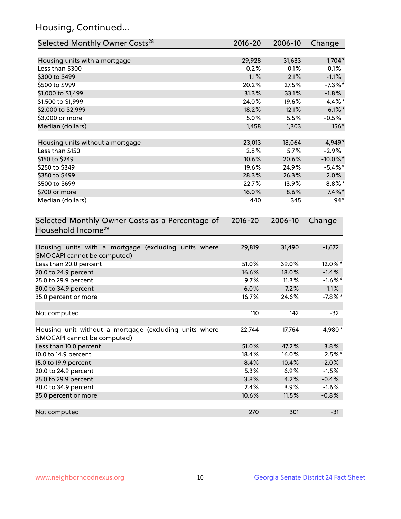## Housing, Continued...

| Selected Monthly Owner Costs <sup>28</sup>                                            | $2016 - 20$ | 2006-10 | Change      |
|---------------------------------------------------------------------------------------|-------------|---------|-------------|
| Housing units with a mortgage                                                         | 29,928      | 31,633  | $-1,704*$   |
| Less than \$300                                                                       | 0.2%        | 0.1%    | 0.1%        |
| \$300 to \$499                                                                        | 1.1%        | 2.1%    | $-1.1%$     |
| \$500 to \$999                                                                        | 20.2%       | 27.5%   | $-7.3\%$ *  |
| \$1,000 to \$1,499                                                                    | 31.3%       | 33.1%   | $-1.8%$     |
| \$1,500 to \$1,999                                                                    | 24.0%       | 19.6%   | 4.4%*       |
| \$2,000 to \$2,999                                                                    | 18.2%       | 12.1%   | $6.1\%$ *   |
| \$3,000 or more                                                                       | 5.0%        | 5.5%    | $-0.5%$     |
| Median (dollars)                                                                      | 1,458       | 1,303   | 156*        |
| Housing units without a mortgage                                                      | 23,013      | 18,064  | 4,949*      |
| Less than \$150                                                                       | 2.8%        | 5.7%    | $-2.9%$     |
| \$150 to \$249                                                                        | 10.6%       | 20.6%   | $-10.0\%$ * |
| \$250 to \$349                                                                        | 19.6%       | 24.9%   | $-5.4\%$ *  |
| \$350 to \$499                                                                        | 28.3%       | 26.3%   | 2.0%        |
| \$500 to \$699                                                                        | 22.7%       | 13.9%   | $8.8\%$ *   |
| \$700 or more                                                                         | 16.0%       | 8.6%    | $7.4\%$ *   |
| Median (dollars)                                                                      | 440         | 345     | $94*$       |
| Selected Monthly Owner Costs as a Percentage of<br>Household Income <sup>29</sup>     | $2016 - 20$ | 2006-10 | Change      |
| Housing units with a mortgage (excluding units where<br>SMOCAPI cannot be computed)   | 29,819      | 31,490  | $-1,672$    |
| Less than 20.0 percent                                                                | 51.0%       | 39.0%   | 12.0%*      |
| 20.0 to 24.9 percent                                                                  | 16.6%       | 18.0%   | $-1.4%$     |
| 25.0 to 29.9 percent                                                                  | 9.7%        | 11.3%   | $-1.6%$ *   |
| 30.0 to 34.9 percent                                                                  | 6.0%        | 7.2%    | $-1.1%$     |
| 35.0 percent or more                                                                  | 16.7%       | 24.6%   | $-7.8\%$ *  |
| Not computed                                                                          | 110         | 142     | $-32$       |
| Housing unit without a mortgage (excluding units where<br>SMOCAPI cannot be computed) | 22,744      | 17,764  | 4,980*      |
| Less than 10.0 percent                                                                | 51.0%       | 47.2%   | 3.8%        |
| 10.0 to 14.9 percent                                                                  | 18.4%       | 16.0%   | $2.5%$ *    |
| 15.0 to 19.9 percent                                                                  | 8.4%        | 10.4%   | $-2.0%$     |
| 20.0 to 24.9 percent                                                                  | 5.3%        | 6.9%    | $-1.5%$     |
| 25.0 to 29.9 percent                                                                  | 3.8%        | 4.2%    | $-0.4%$     |
| 30.0 to 34.9 percent                                                                  | 2.4%        | 3.9%    | $-1.6%$     |
| 35.0 percent or more                                                                  | 10.6%       | 11.5%   | $-0.8%$     |
| Not computed                                                                          | 270         | 301     | $-31$       |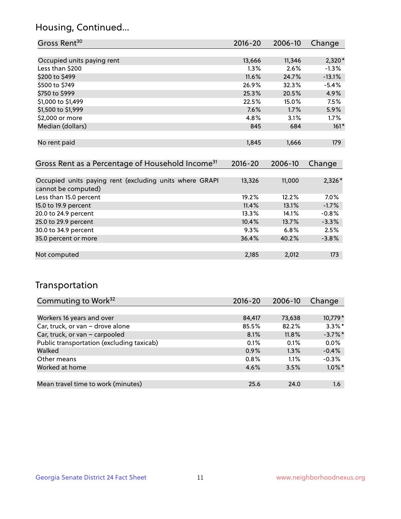## Housing, Continued...

| Gross Rent <sup>30</sup>                                     | 2016-20     | 2006-10 | Change   |
|--------------------------------------------------------------|-------------|---------|----------|
|                                                              |             |         |          |
| Occupied units paying rent                                   | 13,666      | 11,346  | $2,320*$ |
| Less than \$200                                              | $1.3\%$     | 2.6%    | $-1.3\%$ |
| \$200 to \$499                                               | 11.6%       | 24.7%   | $-13.1%$ |
| \$500 to \$749                                               | 26.9%       | 32.3%   | $-5.4%$  |
| \$750 to \$999                                               | 25.3%       | 20.5%   | 4.9%     |
| \$1,000 to \$1,499                                           | 22.5%       | 15.0%   | 7.5%     |
| \$1,500 to \$1,999                                           | 7.6%        | 1.7%    | 5.9%     |
| \$2,000 or more                                              | 4.8%        | 3.1%    | $1.7\%$  |
| Median (dollars)                                             | 845         | 684     | $161*$   |
|                                                              |             |         |          |
| No rent paid                                                 | 1,845       | 1,666   | 179      |
|                                                              |             |         |          |
| Gross Rent as a Percentage of Household Income <sup>31</sup> | $2016 - 20$ | 2006-10 | Change   |
|                                                              |             |         |          |
| Occupied units paying rent (excluding units where GRAPI      | 13,326      | 11,000  | $2,326*$ |

| cannot be computed)    |       |       |         |
|------------------------|-------|-------|---------|
| Less than 15.0 percent | 19.2% | 12.2% | 7.0%    |
| 15.0 to 19.9 percent   | 11.4% | 13.1% | $-1.7%$ |
| 20.0 to 24.9 percent   | 13.3% | 14.1% | $-0.8%$ |
| 25.0 to 29.9 percent   | 10.4% | 13.7% | $-3.3%$ |
| 30.0 to 34.9 percent   | 9.3%  | 6.8%  | 2.5%    |
| 35.0 percent or more   | 36.4% | 40.2% | $-3.8%$ |
|                        |       |       |         |
| Not computed           | 2,185 | 2,012 | 173     |

## Transportation

| Commuting to Work <sup>32</sup>           | 2016-20 | 2006-10 | Change     |
|-------------------------------------------|---------|---------|------------|
|                                           |         |         |            |
| Workers 16 years and over                 | 84,417  | 73,638  | 10,779*    |
| Car, truck, or van - drove alone          | 85.5%   | 82.2%   | $3.3\%$ *  |
| Car, truck, or van - carpooled            | 8.1%    | 11.8%   | $-3.7\%$ * |
| Public transportation (excluding taxicab) | 0.1%    | 0.1%    | 0.0%       |
| Walked                                    | 0.9%    | 1.3%    | $-0.4%$    |
| Other means                               | 0.8%    | $1.1\%$ | $-0.3%$    |
| Worked at home                            | 4.6%    | 3.5%    | $1.0\%$ *  |
|                                           |         |         |            |
| Mean travel time to work (minutes)        | 25.6    | 24.0    | 1.6        |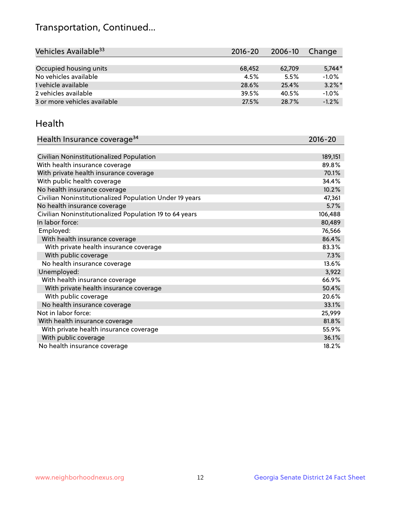## Transportation, Continued...

| Vehicles Available <sup>33</sup> | 2016-20 | 2006-10 | Change    |
|----------------------------------|---------|---------|-----------|
|                                  |         |         |           |
| Occupied housing units           | 68,452  | 62,709  | $5,744*$  |
| No vehicles available            | 4.5%    | 5.5%    | $-1.0%$   |
| 1 vehicle available              | 28.6%   | 25.4%   | $3.2\%$ * |
| 2 vehicles available             | 39.5%   | 40.5%   | $-1.0%$   |
| 3 or more vehicles available     | 27.5%   | 28.7%   | $-1.2%$   |

#### Health

| Health Insurance coverage <sup>34</sup>                 | 2016-20 |
|---------------------------------------------------------|---------|
|                                                         |         |
| Civilian Noninstitutionalized Population                | 189,151 |
| With health insurance coverage                          | 89.8%   |
| With private health insurance coverage                  | 70.1%   |
| With public health coverage                             | 34.4%   |
| No health insurance coverage                            | 10.2%   |
| Civilian Noninstitutionalized Population Under 19 years | 47,361  |
| No health insurance coverage                            | 5.7%    |
| Civilian Noninstitutionalized Population 19 to 64 years | 106,488 |
| In labor force:                                         | 80,489  |
| Employed:                                               | 76,566  |
| With health insurance coverage                          | 86.4%   |
| With private health insurance coverage                  | 83.3%   |
| With public coverage                                    | 7.3%    |
| No health insurance coverage                            | 13.6%   |
| Unemployed:                                             | 3,922   |
| With health insurance coverage                          | 66.9%   |
| With private health insurance coverage                  | 50.4%   |
| With public coverage                                    | 20.6%   |
| No health insurance coverage                            | 33.1%   |
| Not in labor force:                                     | 25,999  |
| With health insurance coverage                          | 81.8%   |
| With private health insurance coverage                  | 55.9%   |
| With public coverage                                    | 36.1%   |
| No health insurance coverage                            | 18.2%   |